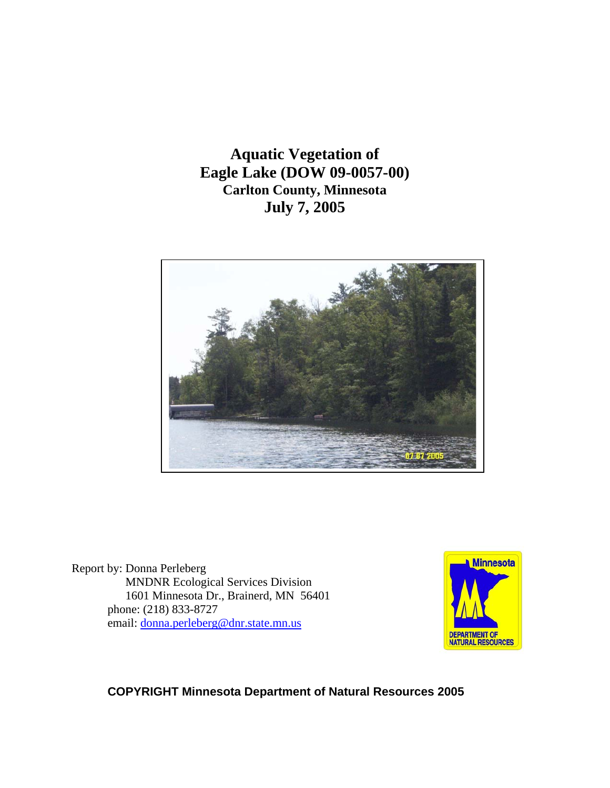**Aquatic Vegetation of Eagle Lake (DOW 09-0057-00) Carlton County, Minnesota July 7, 2005** 



Report by: Donna Perleberg MNDNR Ecological Services Division 1601 Minnesota Dr., Brainerd, MN 56401 phone: (218) 833-8727 email: [donna.perleberg@dnr.state.mn.us](mailto:donna.perleberg@dnr.state.mn.us)



**COPYRIGHT Minnesota Department of Natural Resources 2005**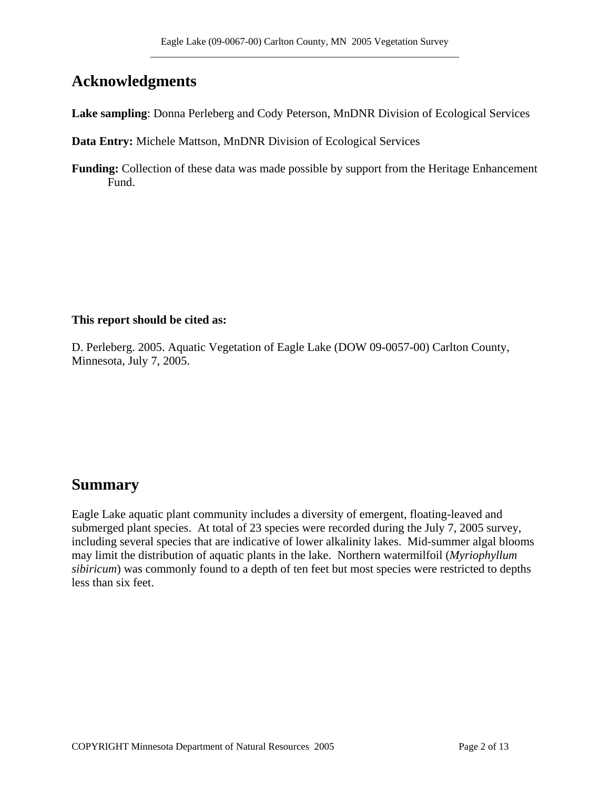# **Acknowledgments**

**Lake sampling**: Donna Perleberg and Cody Peterson, MnDNR Division of Ecological Services

**Data Entry:** Michele Mattson, MnDNR Division of Ecological Services

**Funding:** Collection of these data was made possible by support from the Heritage Enhancement Fund.

### **This report should be cited as:**

D. Perleberg. 2005. Aquatic Vegetation of Eagle Lake (DOW 09-0057-00) Carlton County, Minnesota, July 7, 2005.

## **Summary**

Eagle Lake aquatic plant community includes a diversity of emergent, floating-leaved and submerged plant species. At total of 23 species were recorded during the July 7, 2005 survey, including several species that are indicative of lower alkalinity lakes. Mid-summer algal blooms may limit the distribution of aquatic plants in the lake. Northern watermilfoil (*Myriophyllum sibiricum*) was commonly found to a depth of ten feet but most species were restricted to depths less than six feet.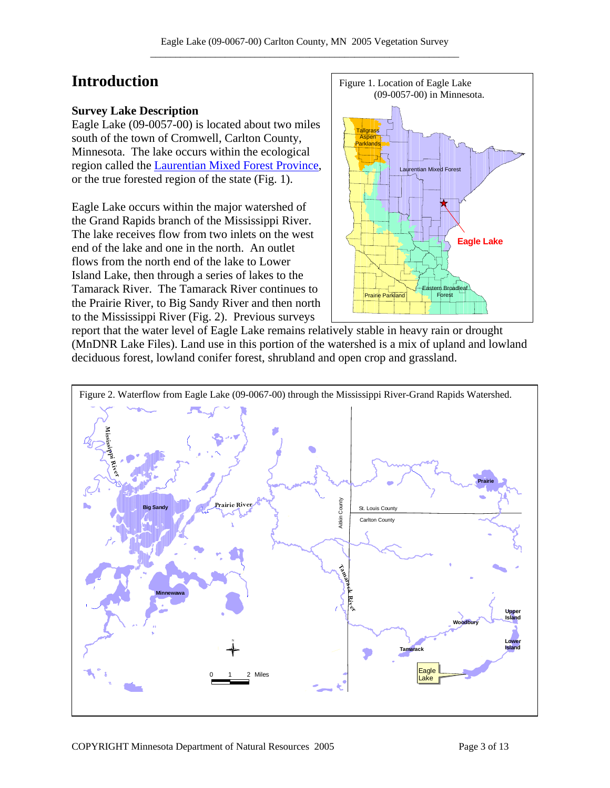# **Introduction**

## **Survey Lake Description**

Eagle Lake (09-0057-00) is located about two miles south of the town of Cromwell, Carlton County, Minnesota. The lake occurs within the ecological region called the [Laurentian Mixed Forest Province,](http://www.dnr.state.mn.us/ecs/index.html) or the true forested region of the state (Fig. 1).

Eagle Lake occurs within the major watershed of the Grand Rapids branch of the Mississippi River. The lake receives flow from two inlets on the west end of the lake and one in the north. An outlet flows from the north end of the lake to Lower Island Lake, then through a series of lakes to the Tamarack River. The Tamarack River continues to the Prairie River, to Big Sandy River and then north to the Mississippi River (Fig. 2). Previous surveys



report that the water level of Eagle Lake remains relatively stable in heavy rain or drought (MnDNR Lake Files). Land use in this portion of the watershed is a mix of upland and lowland deciduous forest, lowland conifer forest, shrubland and open crop and grassland.

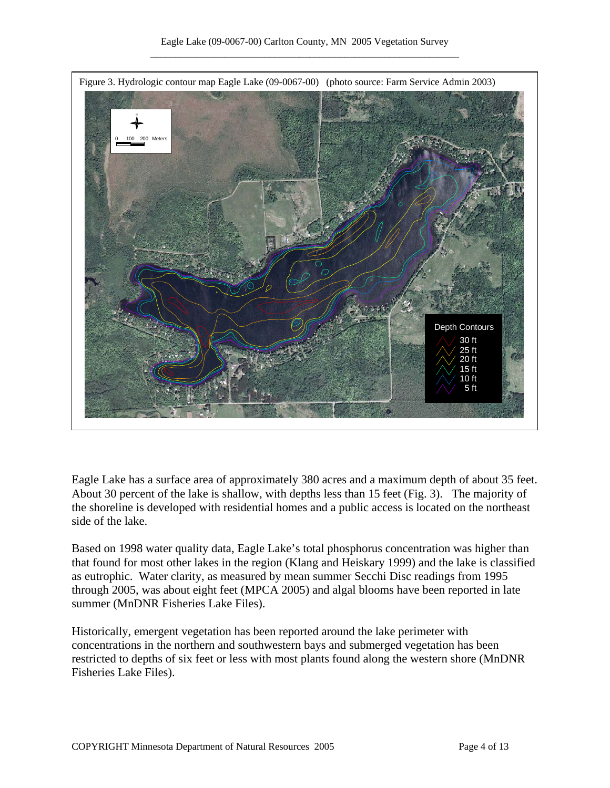

Eagle Lake has a surface area of approximately 380 acres and a maximum depth of about 35 feet. About 30 percent of the lake is shallow, with depths less than 15 feet (Fig. 3). The majority of the shoreline is developed with residential homes and a public access is located on the northeast side of the lake.

Based on 1998 water quality data, Eagle Lake's total phosphorus concentration was higher than that found for most other lakes in the region (Klang and Heiskary 1999) and the lake is classified as eutrophic. Water clarity, as measured by mean summer Secchi Disc readings from 1995 through 2005, was about eight feet (MPCA 2005) and algal blooms have been reported in late summer (MnDNR Fisheries Lake Files).

Historically, emergent vegetation has been reported around the lake perimeter with concentrations in the northern and southwestern bays and submerged vegetation has been restricted to depths of six feet or less with most plants found along the western shore (MnDNR Fisheries Lake Files).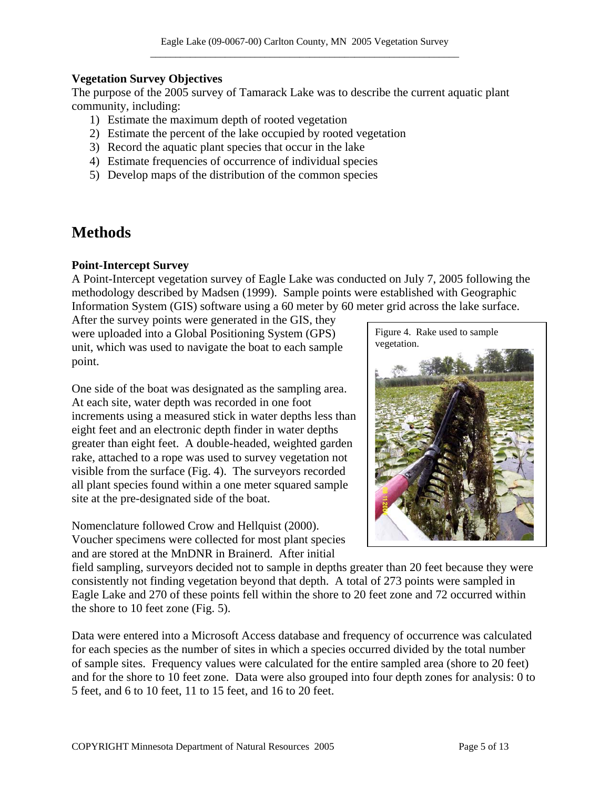#### **Vegetation Survey Objectives**

The purpose of the 2005 survey of Tamarack Lake was to describe the current aquatic plant community, including:

- 1) Estimate the maximum depth of rooted vegetation
- 2) Estimate the percent of the lake occupied by rooted vegetation
- 3) Record the aquatic plant species that occur in the lake
- 4) Estimate frequencies of occurrence of individual species
- 5) Develop maps of the distribution of the common species

# **Methods**

#### **Point-Intercept Survey**

A Point-Intercept vegetation survey of Eagle Lake was conducted on July 7, 2005 following the methodology described by Madsen (1999). Sample points were established with Geographic Information System (GIS) software using a 60 meter by 60 meter grid across the lake surface.

After the survey points were generated in the GIS, they were uploaded into a Global Positioning System (GPS) unit, which was used to navigate the boat to each sample point.

One side of the boat was designated as the sampling area. At each site, water depth was recorded in one foot increments using a measured stick in water depths less than eight feet and an electronic depth finder in water depths greater than eight feet. A double-headed, weighted garden rake, attached to a rope was used to survey vegetation not visible from the surface (Fig. 4). The surveyors recorded all plant species found within a one meter squared sample site at the pre-designated side of the boat.

Nomenclature followed Crow and Hellquist (2000). Voucher specimens were collected for most plant species and are stored at the MnDNR in Brainerd. After initial



field sampling, surveyors decided not to sample in depths greater than 20 feet because they were consistently not finding vegetation beyond that depth. A total of 273 points were sampled in Eagle Lake and 270 of these points fell within the shore to 20 feet zone and 72 occurred within the shore to 10 feet zone (Fig. 5).

Data were entered into a Microsoft Access database and frequency of occurrence was calculated for each species as the number of sites in which a species occurred divided by the total number of sample sites. Frequency values were calculated for the entire sampled area (shore to 20 feet) and for the shore to 10 feet zone. Data were also grouped into four depth zones for analysis: 0 to 5 feet, and 6 to 10 feet, 11 to 15 feet, and 16 to 20 feet.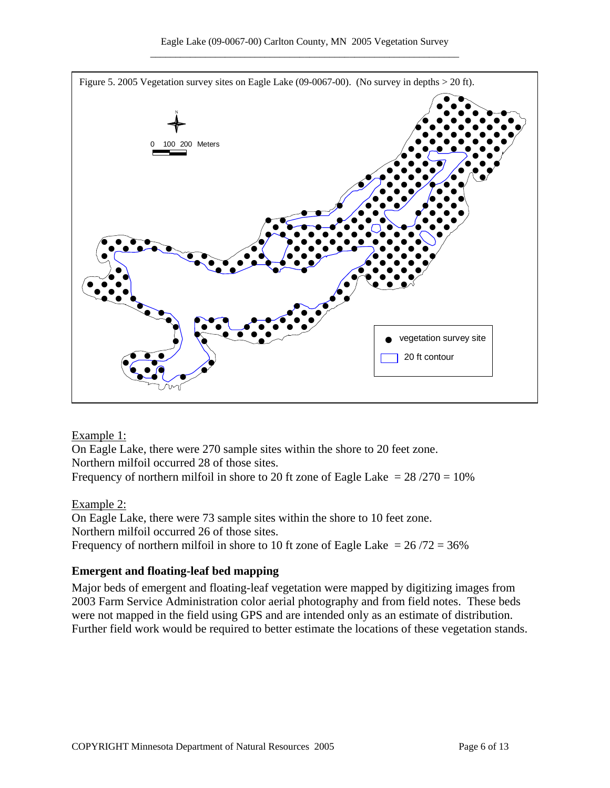

#### Example 1:

On Eagle Lake, there were 270 sample sites within the shore to 20 feet zone. Northern milfoil occurred 28 of those sites. Frequency of northern milfoil in shore to 20 ft zone of Eagle Lake  $= 28/270 = 10\%$ 

#### Example 2:

On Eagle Lake, there were 73 sample sites within the shore to 10 feet zone. Northern milfoil occurred 26 of those sites. Frequency of northern milfoil in shore to 10 ft zone of Eagle Lake  $= 26/72 = 36\%$ 

### **Emergent and floating-leaf bed mapping**

Major beds of emergent and floating-leaf vegetation were mapped by digitizing images from 2003 Farm Service Administration color aerial photography and from field notes. These beds were not mapped in the field using GPS and are intended only as an estimate of distribution. Further field work would be required to better estimate the locations of these vegetation stands.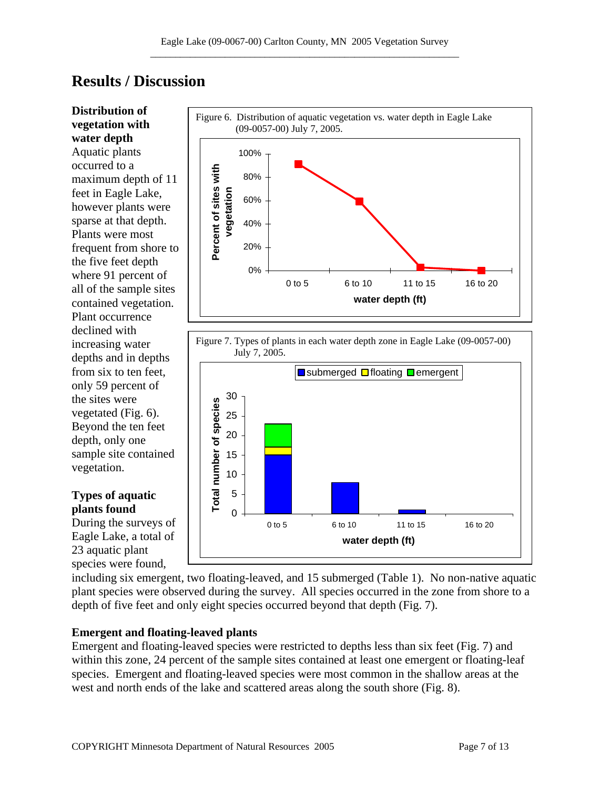# **Results / Discussion**

**Distribution of vegetation with water depth**  Aquatic plants occurred to a maximum depth of 11 feet in Eagle Lake, however plants were sparse at that depth. Plants were most frequent from shore to the five feet depth where 91 percent of all of the sample sites contained vegetation. Plant occurrence declined with increasing water depths and in depths from six to ten feet, only 59 percent of the sites were vegetated (Fig. 6). Beyond the ten feet depth, only one sample site contained vegetation.

### **Types of aquatic plants found**

During the surveys of Eagle Lake, a total of 23 aquatic plant species were found,







including six emergent, two floating-leaved, and 15 submerged (Table 1). No non-native aquatic plant species were observed during the survey. All species occurred in the zone from shore to a depth of five feet and only eight species occurred beyond that depth (Fig. 7).

## **Emergent and floating-leaved plants**

Emergent and floating-leaved species were restricted to depths less than six feet (Fig. 7) and within this zone, 24 percent of the sample sites contained at least one emergent or floating-leaf species. Emergent and floating-leaved species were most common in the shallow areas at the west and north ends of the lake and scattered areas along the south shore (Fig. 8).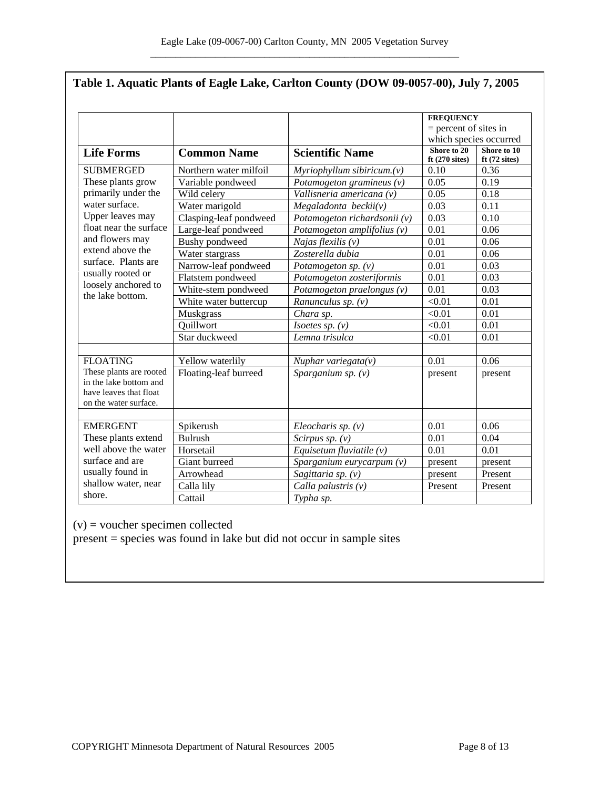| <b>Life Forms</b>                                                                                    | <b>Common Name</b>           | <b>Scientific Name</b>     | <b>FREQUENCY</b><br>$=$ percent of sites in<br>which species occurred                                                                                                                                                                                      |                        |
|------------------------------------------------------------------------------------------------------|------------------------------|----------------------------|------------------------------------------------------------------------------------------------------------------------------------------------------------------------------------------------------------------------------------------------------------|------------------------|
|                                                                                                      |                              |                            |                                                                                                                                                                                                                                                            |                        |
|                                                                                                      |                              |                            | <b>SUBMERGED</b><br>These plants grow<br>primarily under the<br>water surface.<br>Upper leaves may<br>float near the surface<br>and flowers may<br>extend above the<br>surface. Plants are<br>usually rooted or<br>loosely anchored to<br>the lake bottom. | Northern water milfoil |
| Variable pondweed                                                                                    | Potamogeton gramineus $(v)$  | 0.05                       |                                                                                                                                                                                                                                                            | 0.19                   |
| Wild celery                                                                                          | Vallisneria americana (v)    | 0.05                       |                                                                                                                                                                                                                                                            | 0.18                   |
| Water marigold                                                                                       | Megaladonta beckii(v)        | 0.03                       |                                                                                                                                                                                                                                                            | 0.11                   |
| Clasping-leaf pondweed                                                                               | Potamogeton richardsonii (v) | 0.03                       |                                                                                                                                                                                                                                                            | 0.10                   |
| Large-leaf pondweed                                                                                  | Potamogeton amplifolius (v)  | 0.01                       |                                                                                                                                                                                                                                                            | 0.06                   |
| <b>Bushy</b> pondweed                                                                                | Najas flexilis $(v)$         | 0.01                       |                                                                                                                                                                                                                                                            | 0.06                   |
| Water stargrass                                                                                      | Zosterella dubia             | 0.01                       |                                                                                                                                                                                                                                                            | 0.06                   |
| Narrow-leaf pondweed                                                                                 | Potamogeton sp. $(v)$        | 0.01                       |                                                                                                                                                                                                                                                            | 0.03                   |
| Flatstem pondweed                                                                                    | Potamogeton zosteriformis    | 0.01                       |                                                                                                                                                                                                                                                            | 0.03                   |
| White-stem pondweed                                                                                  | Potamogeton praelongus (v)   | 0.01                       |                                                                                                                                                                                                                                                            | 0.03                   |
| White water buttercup                                                                                | Ranunculus sp. (v)           | < 0.01                     |                                                                                                                                                                                                                                                            | 0.01                   |
| Muskgrass                                                                                            | Chara sp.                    | < 0.01                     |                                                                                                                                                                                                                                                            | 0.01                   |
| Quillwort                                                                                            | <i>Isoetes sp.</i> $(v)$     | < 0.01                     |                                                                                                                                                                                                                                                            | 0.01                   |
| Star duckweed                                                                                        | Lemna trisulca               | < 0.01                     |                                                                                                                                                                                                                                                            | 0.01                   |
| <b>FLOATING</b>                                                                                      | Yellow waterlily             | Nuphar variegata $(v)$     | 0.01                                                                                                                                                                                                                                                       | 0.06                   |
| These plants are rooted<br>in the lake bottom and<br>have leaves that float<br>on the water surface. | Floating-leaf burreed        | Sparganium sp. $(v)$       | present                                                                                                                                                                                                                                                    | present                |
| <b>EMERGENT</b><br>These plants extend                                                               | Spikerush                    | Eleocharis sp. $(v)$       | 0.01                                                                                                                                                                                                                                                       | 0.06                   |
|                                                                                                      | <b>Bulrush</b>               | Scirpus sp. $(v)$          | 0.01                                                                                                                                                                                                                                                       | 0.04                   |
| well above the water                                                                                 | Horsetail                    | Equisetum fluviatile $(v)$ | 0.01                                                                                                                                                                                                                                                       | 0.01                   |
| surface and are                                                                                      | Giant burreed                | Sparganium eurycarpum (v)  | present                                                                                                                                                                                                                                                    | present                |
| usually found in                                                                                     | Arrowhead                    | Sagittaria sp. (v)         | present                                                                                                                                                                                                                                                    | Present                |
| shallow water, near                                                                                  | Calla lily                   | Calla palustris $(v)$      | Present                                                                                                                                                                                                                                                    | Present                |
| shore.                                                                                               | Cattail                      | Typha sp.                  |                                                                                                                                                                                                                                                            |                        |

# **Table 1. Aquatic Plants of Eagle Lake, Carlton County (DOW 09-0057-00), July 7, 2005**

(v) = voucher specimen collected

 $\gamma$  present = species was found in lake but did not occur in sample sites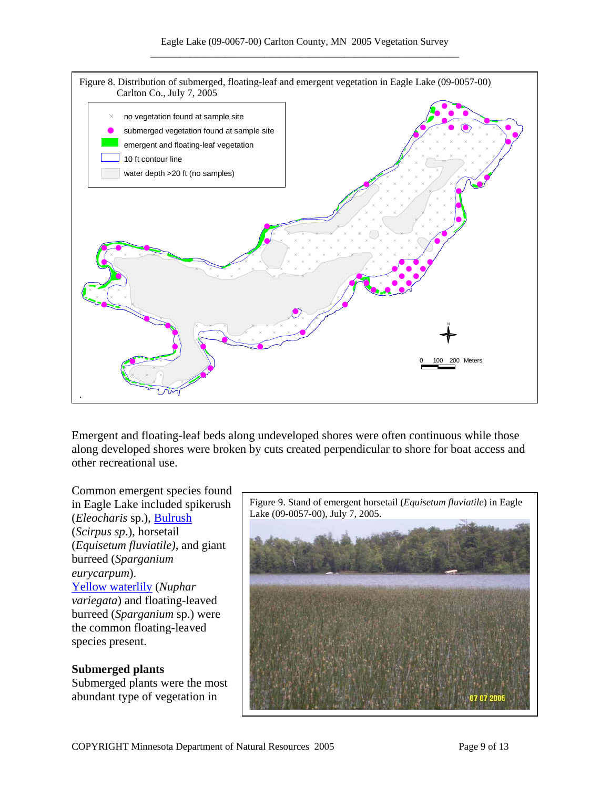

Emergent and floating-leaf beds along undeveloped shores were often continuous while those along developed shores were broken by cuts created perpendicular to shore for boat access and other recreational use.

Common emergent species found in Eagle Lake included spikerush (*Eleocharis* sp.), (*Scirpus sp*.), horsetail (*Equisetum fluviatile)*, and giant burreed (*Sparganium eurycarpum*). [Yellow waterlily](http://www.dnr.state.mn.us/aquatic_plants/floatingleaf_plants/spatterdock.html) (*Nuphar variegata*) and floating-leaved burreed (*Sparganium* sp.) were the common floating-leaved species present.

#### **Submerged plants**

Submerged plants were the most abundant type of vegetation in

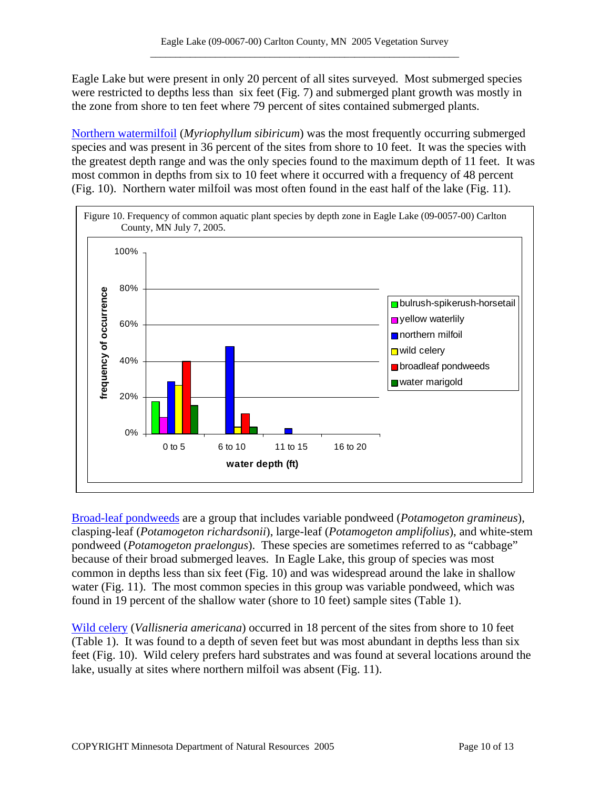Eagle Lake but were present in only 20 percent of all sites surveyed. Most submerged species were restricted to depths less than six feet (Fig. 7) and submerged plant growth was mostly in the zone from shore to ten feet where 79 percent of sites contained submerged plants.

[Northern watermilfoil](http://www.dnr.state.mn.us/aquatic_plants/submerged_plants/northern_watermilfoil.html) (*Myriophyllum sibiricum*) was the most frequently occurring submerged species and was present in 36 percent of the sites from shore to 10 feet. It was the species with the greatest depth range and was the only species found to the maximum depth of 11 feet. It was most common in depths from six to 10 feet where it occurred with a frequency of 48 percent (Fig. 10). Northern water milfoil was most often found in the east half of the lake (Fig. 11).



[Broad-leaf pondweeds](http://www.dnr.state.mn.us/aquatic_plants/submerged_plants/broadleaf_pondweeds.html) are a group that includes variable pondweed (*Potamogeton gramineus*), clasping-leaf (*Potamogeton richardsonii*), large-leaf (*Potamogeton amplifolius*), and white-stem pondweed (*Potamogeton praelongus*). These species are sometimes referred to as "cabbage" because of their broad submerged leaves. In Eagle Lake, this group of species was most common in depths less than six feet (Fig. 10) and was widespread around the lake in shallow water (Fig. 11). The most common species in this group was variable pondweed, which was found in 19 percent of the shallow water (shore to 10 feet) sample sites (Table 1).

[Wild celery](http://www.dnr.state.mn.us/aquatic_plants/submerged_plants/wild_celery.html) (*Vallisneria americana*) occurred in 18 percent of the sites from shore to 10 feet (Table 1). It was found to a depth of seven feet but was most abundant in depths less than six feet (Fig. 10). Wild celery prefers hard substrates and was found at several locations around the lake, usually at sites where northern milfoil was absent (Fig. 11).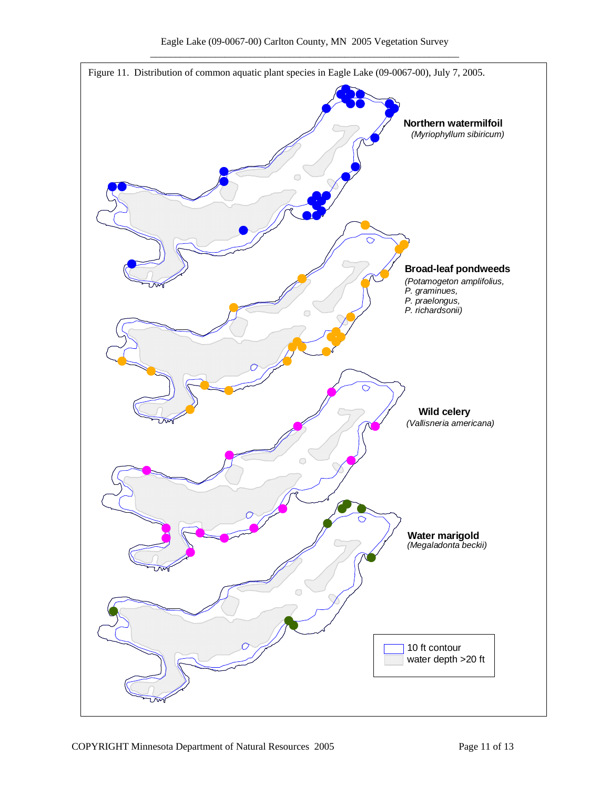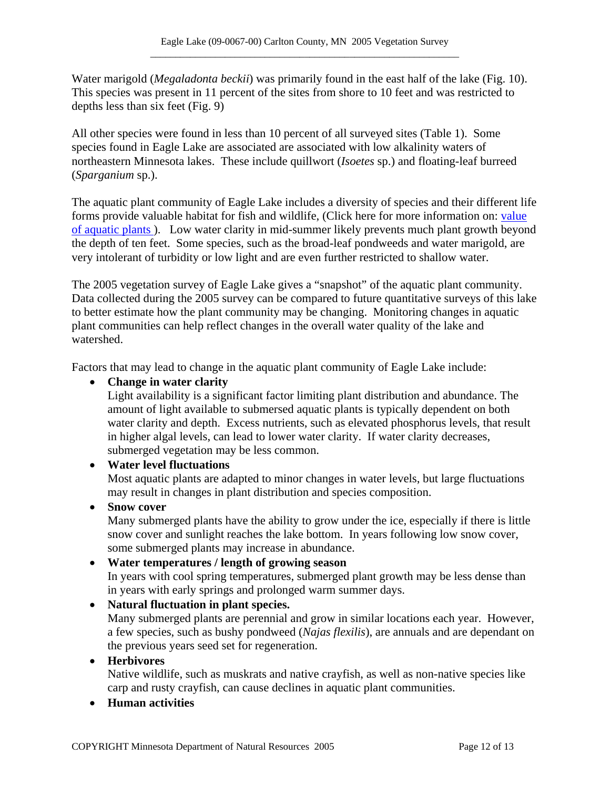Water marigold (*Megaladonta beckii*) was primarily found in the east half of the lake (Fig. 10). This species was present in 11 percent of the sites from shore to 10 feet and was restricted to depths less than six feet (Fig. 9)

All other species were found in less than 10 percent of all surveyed sites (Table 1). Some species found in Eagle Lake are associated are associated with low alkalinity waters of northeastern Minnesota lakes. These include quillwort (*Isoetes* sp.) and floating-leaf burreed (*Sparganium* sp.).

The aquatic plant community of Eagle Lake includes a diversity of species and their different life forms provide valuable habitat for fish and wildlife, (Click here for more information on: [value](http://www.dnr.state.mn.us/shorelandmgmt/apg/value.html)  [of aquatic plants](http://www.dnr.state.mn.us/shorelandmgmt/apg/value.html) ). Low water clarity in mid-summer likely prevents much plant growth beyond the depth of ten feet. Some species, such as the broad-leaf pondweeds and water marigold, are very intolerant of turbidity or low light and are even further restricted to shallow water.

The 2005 vegetation survey of Eagle Lake gives a "snapshot" of the aquatic plant community. Data collected during the 2005 survey can be compared to future quantitative surveys of this lake to better estimate how the plant community may be changing. Monitoring changes in aquatic plant communities can help reflect changes in the overall water quality of the lake and watershed.

Factors that may lead to change in the aquatic plant community of Eagle Lake include:

### • **Change in water clarity**

Light availability is a significant factor limiting plant distribution and abundance. The amount of light available to submersed aquatic plants is typically dependent on both water clarity and depth. Excess nutrients, such as elevated phosphorus levels, that result in higher algal levels, can lead to lower water clarity. If water clarity decreases, submerged vegetation may be less common.

### • **Water level fluctuations**

Most aquatic plants are adapted to minor changes in water levels, but large fluctuations may result in changes in plant distribution and species composition.

#### • **Snow cover**

Many submerged plants have the ability to grow under the ice, especially if there is little snow cover and sunlight reaches the lake bottom. In years following low snow cover, some submerged plants may increase in abundance.

### • **Water temperatures / length of growing season**  In years with cool spring temperatures, submerged plant growth may be less dense than in years with early springs and prolonged warm summer days.

## • **Natural fluctuation in plant species.**

Many submerged plants are perennial and grow in similar locations each year. However, a few species, such as bushy pondweed (*Najas flexilis*), are annuals and are dependant on the previous years seed set for regeneration.

#### • **Herbivores**

Native wildlife, such as muskrats and native crayfish, as well as non-native species like carp and rusty crayfish, can cause declines in aquatic plant communities.

• **Human activities**